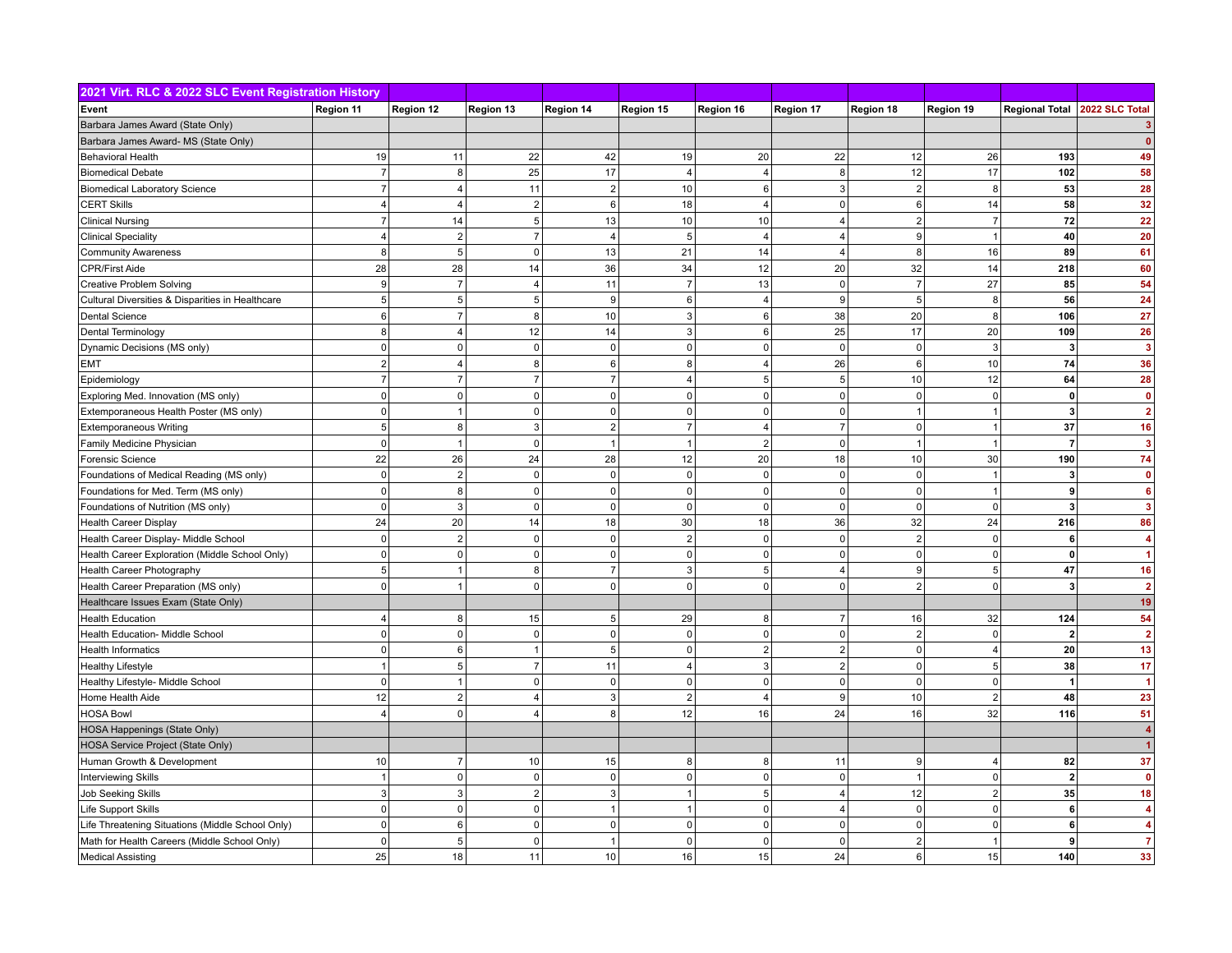| 2021 Virt. RLC & 2022 SLC Event Registration History |                |                  |                |                 |                     |                |                         |                |                |                         |                         |
|------------------------------------------------------|----------------|------------------|----------------|-----------------|---------------------|----------------|-------------------------|----------------|----------------|-------------------------|-------------------------|
| Event                                                | Region 11      | Region 12        | Region 13      | Region 14       | Region 15           | Region 16      | <b>Region 17</b>        | Region 18      | Region 19      | <b>Regional Total</b>   | 2022 SLC Total          |
| Barbara James Award (State Only)                     |                |                  |                |                 |                     |                |                         |                |                |                         |                         |
| Barbara James Award- MS (State Only)                 |                |                  |                |                 |                     |                |                         |                |                |                         | $\mathbf{0}$            |
| Behavioral Health                                    | 19             | 11               | 22             | 42              | 19                  | 20             | 22                      | 12             | 26             | 193                     | 49                      |
| <b>Biomedical Debate</b>                             | $\overline{7}$ | $\bf 8$          | 25             | 17              | $\overline{4}$      | $\overline{4}$ | 8                       | 12             | 17             | 102                     | 58                      |
| <b>Biomedical Laboratory Science</b>                 | $\overline{7}$ | $\overline{4}$   | 11             | $\overline{2}$  | 10                  | 6              | 3                       | 2              | 8              | 53                      | 28                      |
| <b>CERT Skills</b>                                   | 4              | $\overline{4}$   | $\overline{2}$ | $6\phantom{a}$  | 18                  | $\overline{4}$ | $\pmb{0}$               | 6              | 14             | 58                      | 32                      |
| <b>Clinical Nursing</b>                              | $\overline{7}$ | 14               | 5 <sup>5</sup> | 13              | 10                  | 10             | $\overline{\mathbf{4}}$ | $\overline{2}$ | $\overline{7}$ | 72                      | 22                      |
| <b>Clinical Speciality</b>                           | $\overline{4}$ | $\overline{2}$   | $\overline{7}$ | $\overline{4}$  | $5\overline{5}$     | $\overline{4}$ | $\overline{\mathbf{4}}$ | 9              | $\overline{1}$ | 40                      | 20                      |
| <b>Community Awareness</b>                           | 8              | $\sqrt{5}$       | $\mathbf 0$    | 13              | 21                  | 14             | $\overline{4}$          | 8              | 16             | 89                      | 61                      |
| <b>CPR/First Aide</b>                                | 28             | 28               | 14             | 36              | 34                  | 12             | 20                      | 32             | 14             | 218                     | 60                      |
| <b>Creative Problem Solving</b>                      | 9              | $\overline{7}$   | 4              | 11              | $\overline{7}$      | 13             | $\mathbf 0$             | $\overline{7}$ | 27             | 85                      | 54                      |
| Cultural Diversities & Disparities in Healthcare     | 5              | $\overline{5}$   | 5              | 9               | $6\phantom{a}$      | 4              | $\boldsymbol{9}$        | 5 <sup>2</sup> | 8              | 56                      | 24                      |
| Dental Science                                       | 6              | $\overline{7}$   | 8              | 10              | $\mathbf{3}$        | 6              | 38                      | 20             | 8              | 106                     | 27                      |
| Dental Terminology                                   | 8              | $\overline{4}$   | 12             | 14              | $\mathbf{3}$        | 6              | 25                      | 17             | 20             | 109                     | 26                      |
| Dynamic Decisions (MS only)                          | $\mathsf 0$    | $\pmb{0}$        | $\mathbf 0$    | $\pmb{0}$       | $\mathsf{O}\xspace$ | $\Omega$       | $\pmb{0}$               | $\mathsf 0$    | 3              | 3                       | $\overline{\mathbf{3}}$ |
| <b>EMT</b>                                           | $\overline{2}$ | $\overline{4}$   | $\mathsf{R}$   | $6\phantom{1}6$ | 8                   | $\overline{4}$ | 26                      | 6              | 10             | 74                      | 36                      |
| Epidemiology                                         | $\overline{7}$ | $\overline{7}$   |                | $\overline{7}$  | $\overline{4}$      | 5              | 5                       | 10             | 12             | 64                      | 28                      |
| Exploring Med. Innovation (MS only)                  | $\mathbf 0$    | $\mathbf 0$      | $\mathbf 0$    | $\mathbf 0$     | $\mathbf 0$         | $\Omega$       | $\mathbf 0$             | $\mathbf 0$    | $\Omega$       | 0                       | $\mathbf{0}$            |
| Extemporaneous Health Poster (MS only)               | $\Omega$       | $\overline{1}$   | $\Omega$       | $\mathbf 0$     | $\mathbf{0}$        | $\Omega$       | $\mathbf 0$             | -1             |                | $\overline{3}$          | $\overline{2}$          |
| <b>Extemporaneous Writing</b>                        | 5              | 8                | 3              | $\overline{2}$  | $\overline{7}$      | $\overline{4}$ | $\overline{7}$          | $\mathbf 0$    | $\overline{1}$ | 37                      | 16                      |
| Family Medicine Physician                            | $\mathbf 0$    | $\overline{1}$   | $\Omega$       | $\overline{1}$  | $\overline{1}$      | $\overline{2}$ | $\mathbf 0$             | -1             | -1             | 7                       | 3                       |
| Forensic Science                                     | 22             | 26               | 24             | 28              | 12                  | 20             | 18                      | 10             | 30             | 190                     | 74                      |
| Foundations of Medical Reading (MS only)             | $\mathsf 0$    | $\sqrt{2}$       | $\Omega$       | $\pmb{0}$       | $\mathsf{O}\xspace$ | $\Omega$       | $\pmb{0}$               | 0              | $\overline{1}$ | 3                       | $\mathbf{0}$            |
| Foundations for Med. Term (MS only)                  | $\mathbf 0$    | 8                | $\mathbf 0$    | $\mathbf 0$     | $\mathbf 0$         | $\mathbf 0$    | $\mathbf 0$             | $\mathbf 0$    | $\overline{1}$ | 9                       | 6                       |
| Foundations of Nutrition (MS only)                   | $\mathbf 0$    | $\mathbf{3}$     | $\overline{0}$ | $\mathbf 0$     | $\mathbf 0$         | $\mathbf 0$    | $\mathbf 0$             | 0              | $\mathbf 0$    | 3                       | 3                       |
| <b>Health Career Display</b>                         | 24             | 20               | 14             | 18              | 30                  | 18             | 36                      | 32             | 24             | 216                     | 86                      |
| Health Career Display- Middle School                 | $\mathbf 0$    | $\overline{2}$   | $\overline{0}$ | $\mathbf 0$     | $\overline{2}$      | $\Omega$       | $\mathbf 0$             | $\overline{2}$ | $\Omega$       | 6 <sup>1</sup>          | 4                       |
| Health Career Exploration (Middle School Only)       | $\mathbf 0$    | $\pmb{0}$        | $\overline{0}$ | $\mathbf 0$     | $\mathbf 0$         | $\Omega$       | $\mathbf 0$             | 0              | $\Omega$       | $\mathbf{0}$            | 1                       |
| Health Career Photography                            | 5              | $\overline{1}$   | $\mathbf{8}$   | $\overline{7}$  | 3                   | 5              | $\overline{4}$          | 9              | 5              | 47                      | 16                      |
| Health Career Preparation (MS only)                  | $\Omega$       | $\overline{1}$   | $\Omega$       | $\mathbf 0$     | $\mathbf 0$         | $\Omega$       | $\Omega$                | 2 <sup>1</sup> | $\Omega$       | $\overline{\mathbf{3}}$ | $\overline{2}$          |
| Healthcare Issues Exam (State Only)                  |                |                  |                |                 |                     |                |                         |                |                |                         | 19                      |
| Health Education                                     | 4              | 8                | 15             | 5               | 29                  | 8              | $\overline{7}$          | 16             | 32             | 124                     | 54                      |
| Health Education- Middle School                      | $\mathbf 0$    | $\pmb{0}$        | $\mathbf 0$    | $\pmb{0}$       | $\mathsf{O}\xspace$ | $\Omega$       | $\pmb{0}$               | $\overline{2}$ | $\overline{0}$ | $\overline{2}$          | $\overline{2}$          |
| <b>Health Informatics</b>                            | $\mathbf 0$    | $\,6$            |                | 5               | $\mathsf{O}\xspace$ | $\overline{2}$ | $\overline{2}$          | $\mathsf 0$    | $\Delta$       | 20                      | 13                      |
| <b>Healthy Lifestyle</b>                             | 1              | $\sqrt{5}$       | $\overline{7}$ | 11              | $\overline{4}$      | 3              | $\overline{2}$          | $\mathbf 0$    | 5              | 38                      | 17                      |
| Healthy Lifestyle- Middle School                     | $\mathsf 0$    | $\overline{1}$   | $\Omega$       | $\pmb{0}$       | $\mathsf 0$         | $\Omega$       | $\pmb{0}$               | $\mathsf 0$    | $\Omega$       |                         | 1                       |
| Home Health Aide                                     | 12             | $\overline{2}$   | $\overline{4}$ | 3               | $\overline{2}$      | 4              | 9                       | 10             | $\overline{2}$ | 48                      | 23                      |
| <b>HOSA Bowl</b>                                     | $\overline{4}$ | $\mathbf 0$      |                | 8               | 12                  | 16             | 24                      | 16             | 32             | 116                     | 51                      |
| HOSA Happenings (State Only)                         |                |                  |                |                 |                     |                |                         |                |                |                         |                         |
| HOSA Service Project (State Only)                    |                |                  |                |                 |                     |                |                         |                |                |                         |                         |
| Human Growth & Development                           | 10             | $\overline{7}$   | 10             | 15              | 8                   | 8              | 11                      | 9              | $\overline{4}$ | 82                      | 37                      |
| <b>Interviewing Skills</b>                           | $\overline{1}$ | $\pmb{0}$        | $\mathbf 0$    | $\pmb{0}$       | $\mathsf{O}\xspace$ | $\Omega$       | $\overline{0}$          | $\mathbf{1}$   | $\pmb{0}$      | $\mathbf{2}$            | $\overline{0}$          |
| Job Seeking Skills                                   | 3              | $\sqrt{3}$       | $\overline{2}$ | $\overline{3}$  | $\mathbf{1}$        | 5              | 4                       | 12             | $\overline{2}$ | 35                      | 18                      |
| Life Support Skills                                  | $\mathbf 0$    | $\pmb{0}$        | $\overline{0}$ | $\overline{1}$  | $\mathbf{1}$        | $\mathbf 0$    | $\overline{4}$          | 0              | $\mathbf 0$    | $6 \mid$                | $\boldsymbol{\Lambda}$  |
| Life Threatening Situations (Middle School Only)     | $\overline{0}$ | $\boldsymbol{6}$ | $\overline{0}$ | $\pmb{0}$       | $\mathsf{O}\xspace$ | $\mathbf 0$    | $\mathbf 0$             | 0              | $\mathbf 0$    | 6                       | $\boldsymbol{A}$        |
| Math for Health Careers (Middle School Only)         | $\mathbf 0$    | $\overline{5}$   | $\Omega$       | $\overline{1}$  | $\mathbf 0$         | $\Omega$       | $\mathbf 0$             | $\overline{2}$ | $\overline{1}$ | 9                       | $\overline{7}$          |
| <b>Medical Assisting</b>                             | 25             | 18               | 11             | 10              | 16                  | 15             | 24                      | 6              | 15             | 140                     | 33                      |